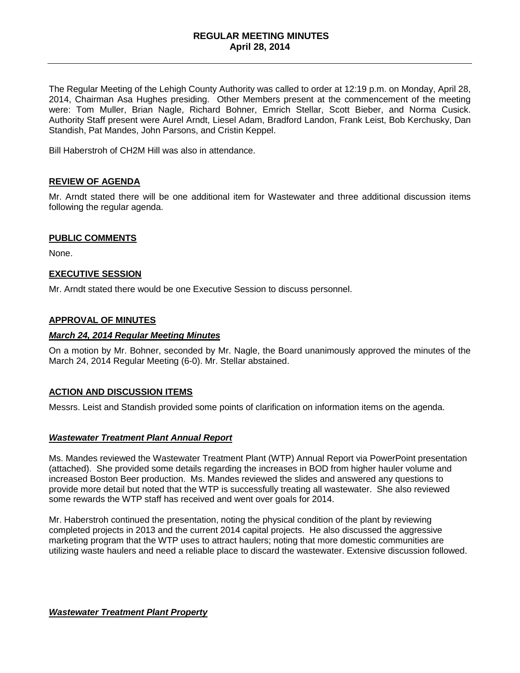# **REGULAR MEETING MINUTES April 28, 2014**

The Regular Meeting of the Lehigh County Authority was called to order at 12:19 p.m. on Monday, April 28, 2014, Chairman Asa Hughes presiding. Other Members present at the commencement of the meeting were: Tom Muller, Brian Nagle, Richard Bohner, Emrich Stellar, Scott Bieber, and Norma Cusick. Authority Staff present were Aurel Arndt, Liesel Adam, Bradford Landon, Frank Leist, Bob Kerchusky, Dan Standish, Pat Mandes, John Parsons, and Cristin Keppel.

Bill Haberstroh of CH2M Hill was also in attendance.

# **REVIEW OF AGENDA**

Mr. Arndt stated there will be one additional item for Wastewater and three additional discussion items following the regular agenda.

# **PUBLIC COMMENTS**

None.

# **EXECUTIVE SESSION**

Mr. Arndt stated there would be one Executive Session to discuss personnel.

### **APPROVAL OF MINUTES**

### *March 24, 2014 Regular Meeting Minutes*

On a motion by Mr. Bohner, seconded by Mr. Nagle, the Board unanimously approved the minutes of the March 24, 2014 Regular Meeting (6-0). Mr. Stellar abstained.

# **ACTION AND DISCUSSION ITEMS**

Messrs. Leist and Standish provided some points of clarification on information items on the agenda.

#### *Wastewater Treatment Plant Annual Report*

Ms. Mandes reviewed the Wastewater Treatment Plant (WTP) Annual Report via PowerPoint presentation (attached). She provided some details regarding the increases in BOD from higher hauler volume and increased Boston Beer production. Ms. Mandes reviewed the slides and answered any questions to provide more detail but noted that the WTP is successfully treating all wastewater. She also reviewed some rewards the WTP staff has received and went over goals for 2014.

Mr. Haberstroh continued the presentation, noting the physical condition of the plant by reviewing completed projects in 2013 and the current 2014 capital projects. He also discussed the aggressive marketing program that the WTP uses to attract haulers; noting that more domestic communities are utilizing waste haulers and need a reliable place to discard the wastewater. Extensive discussion followed.

*Wastewater Treatment Plant Property*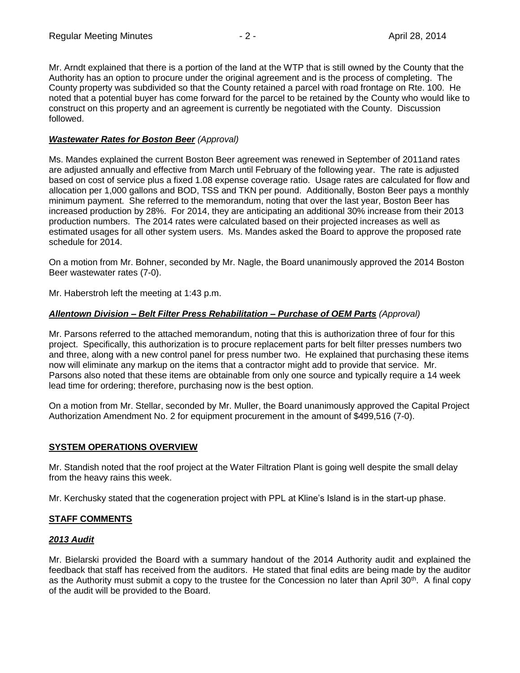Mr. Arndt explained that there is a portion of the land at the WTP that is still owned by the County that the Authority has an option to procure under the original agreement and is the process of completing. The County property was subdivided so that the County retained a parcel with road frontage on Rte. 100. He noted that a potential buyer has come forward for the parcel to be retained by the County who would like to construct on this property and an agreement is currently be negotiated with the County. Discussion followed.

# *Wastewater Rates for Boston Beer (Approval)*

Ms. Mandes explained the current Boston Beer agreement was renewed in September of 2011and rates are adjusted annually and effective from March until February of the following year. The rate is adjusted based on cost of service plus a fixed 1.08 expense coverage ratio. Usage rates are calculated for flow and allocation per 1,000 gallons and BOD, TSS and TKN per pound. Additionally, Boston Beer pays a monthly minimum payment. She referred to the memorandum, noting that over the last year, Boston Beer has increased production by 28%. For 2014, they are anticipating an additional 30% increase from their 2013 production numbers. The 2014 rates were calculated based on their projected increases as well as estimated usages for all other system users. Ms. Mandes asked the Board to approve the proposed rate schedule for 2014.

On a motion from Mr. Bohner, seconded by Mr. Nagle, the Board unanimously approved the 2014 Boston Beer wastewater rates (7-0).

Mr. Haberstroh left the meeting at 1:43 p.m.

# *Allentown Division – Belt Filter Press Rehabilitation – Purchase of OEM Parts (Approval)*

Mr. Parsons referred to the attached memorandum, noting that this is authorization three of four for this project. Specifically, this authorization is to procure replacement parts for belt filter presses numbers two and three, along with a new control panel for press number two. He explained that purchasing these items now will eliminate any markup on the items that a contractor might add to provide that service. Mr. Parsons also noted that these items are obtainable from only one source and typically require a 14 week lead time for ordering; therefore, purchasing now is the best option.

On a motion from Mr. Stellar, seconded by Mr. Muller, the Board unanimously approved the Capital Project Authorization Amendment No. 2 for equipment procurement in the amount of \$499,516 (7-0).

# **SYSTEM OPERATIONS OVERVIEW**

Mr. Standish noted that the roof project at the Water Filtration Plant is going well despite the small delay from the heavy rains this week.

Mr. Kerchusky stated that the cogeneration project with PPL at Kline's Island is in the start-up phase.

# **STAFF COMMENTS**

# *2013 Audit*

Mr. Bielarski provided the Board with a summary handout of the 2014 Authority audit and explained the feedback that staff has received from the auditors. He stated that final edits are being made by the auditor as the Authority must submit a copy to the trustee for the Concession no later than April 30<sup>th</sup>. A final copy of the audit will be provided to the Board.